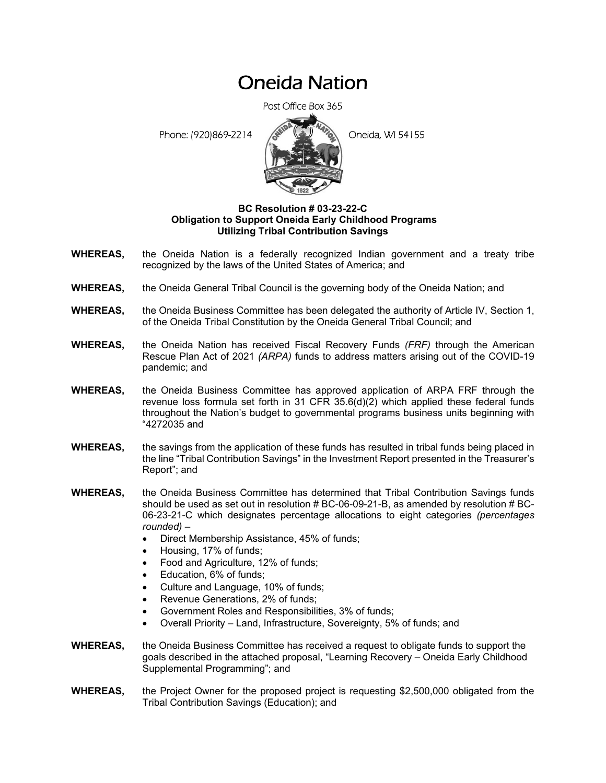## Oneida Nation

Post Office Box 365

Phone: (920)869-2214 **Contract Contract Contract Contract Contract Contract Contract Contract Contract Contract Contract Contract Contract Contract Contract Contract Contract Contract Contract Contract Contract Contract Co** 



## **BC Resolution # 03-23-22-C Obligation to Support Oneida Early Childhood Programs Utilizing Tribal Contribution Savings**

- **WHEREAS,** the Oneida Nation is a federally recognized Indian government and a treaty tribe recognized by the laws of the United States of America; and
- **WHEREAS,** the Oneida General Tribal Council is the governing body of the Oneida Nation; and
- **WHEREAS,** the Oneida Business Committee has been delegated the authority of Article IV, Section 1, of the Oneida Tribal Constitution by the Oneida General Tribal Council; and
- **WHEREAS,** the Oneida Nation has received Fiscal Recovery Funds *(FRF)* through the American Rescue Plan Act of 2021 *(ARPA)* funds to address matters arising out of the COVID-19 pandemic; and
- **WHEREAS,** the Oneida Business Committee has approved application of ARPA FRF through the revenue loss formula set forth in 31 CFR 35.6(d)(2) which applied these federal funds throughout the Nation's budget to governmental programs business units beginning with "4272035 and
- **WHEREAS,** the savings from the application of these funds has resulted in tribal funds being placed in the line "Tribal Contribution Savings" in the Investment Report presented in the Treasurer's Report"; and
- **WHEREAS,** the Oneida Business Committee has determined that Tribal Contribution Savings funds should be used as set out in resolution # BC-06-09-21-B, as amended by resolution # BC-06-23-21-C which designates percentage allocations to eight categories *(percentages rounded)* –
	- Direct Membership Assistance, 45% of funds;
	- Housing, 17% of funds;
	- Food and Agriculture, 12% of funds;
	- Education, 6% of funds;
	- Culture and Language, 10% of funds;
	- Revenue Generations, 2% of funds;
	- Government Roles and Responsibilities, 3% of funds;
	- Overall Priority Land, Infrastructure, Sovereignty, 5% of funds; and
- **WHEREAS,** the Oneida Business Committee has received a request to obligate funds to support the goals described in the attached proposal, "Learning Recovery – Oneida Early Childhood Supplemental Programming"; and
- **WHEREAS,** the Project Owner for the proposed project is requesting \$2,500,000 obligated from the Tribal Contribution Savings (Education); and